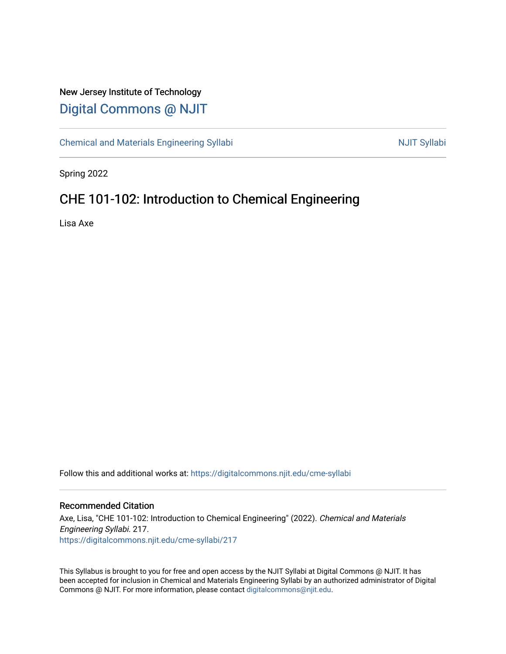## New Jersey Institute of Technology [Digital Commons @ NJIT](https://digitalcommons.njit.edu/)

[Chemical and Materials Engineering Syllabi](https://digitalcommons.njit.edu/cme-syllabi) Nulle and Syllabi Nulle Syllabi Nulle Syllabi Nulle Syllabi Nulle Syllabi

Spring 2022

# CHE 101-102: Introduction to Chemical Engineering

Lisa Axe

Follow this and additional works at: [https://digitalcommons.njit.edu/cme-syllabi](https://digitalcommons.njit.edu/cme-syllabi?utm_source=digitalcommons.njit.edu%2Fcme-syllabi%2F217&utm_medium=PDF&utm_campaign=PDFCoverPages) 

### Recommended Citation

Axe, Lisa, "CHE 101-102: Introduction to Chemical Engineering" (2022). Chemical and Materials Engineering Syllabi. 217. [https://digitalcommons.njit.edu/cme-syllabi/217](https://digitalcommons.njit.edu/cme-syllabi/217?utm_source=digitalcommons.njit.edu%2Fcme-syllabi%2F217&utm_medium=PDF&utm_campaign=PDFCoverPages) 

This Syllabus is brought to you for free and open access by the NJIT Syllabi at Digital Commons @ NJIT. It has been accepted for inclusion in Chemical and Materials Engineering Syllabi by an authorized administrator of Digital Commons @ NJIT. For more information, please contact [digitalcommons@njit.edu.](mailto:digitalcommons@njit.edu)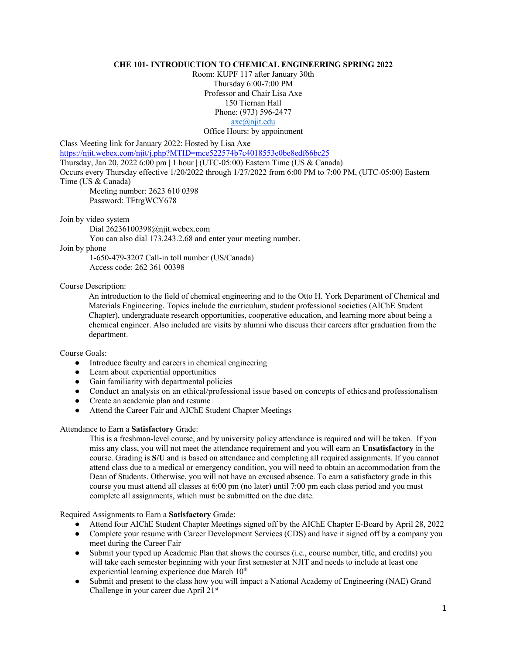#### **CHE 101- INTRODUCTION TO CHEMICAL ENGINEERING SPRING 2022**

Room: KUPF 117 after January 30th Thursday 6:00-7:00 PM Professor and Chair Lisa Axe 150 Tiernan Hall Phone: (973) 596-2477 axe@njit.edu Office Hours: by appointment

Class Meeting link for January 2022: Hosted by Lisa Axe

https://njit.webex.com/njit/j.php?MTID=mce522574b7c4018553e0be8edf66bc25

Thursday, Jan 20, 2022 6:00 pm | 1 hour | (UTC-05:00) Eastern Time (US & Canada)

Occurs every Thursday effective 1/20/2022 through 1/27/2022 from 6:00 PM to 7:00 PM, (UTC-05:00) Eastern Time (US & Canada)

Meeting number: 2623 610 0398 Password: TEtrgWCY678

Join by video system

Dial 26236100398@njit.webex.com

You can also dial 173.243.2.68 and enter your meeting number.

#### Join by phone

1-650-479-3207 Call-in toll number (US/Canada) Access code: 262 361 00398

#### Course Description:

An introduction to the field of chemical engineering and to the Otto H. York Department of Chemical and Materials Engineering. Topics include the curriculum, student professional societies (AIChE Student Chapter), undergraduate research opportunities, cooperative education, and learning more about being a chemical engineer. Also included are visits by alumni who discuss their careers after graduation from the department.

Course Goals:

- Introduce faculty and careers in chemical engineering
- Learn about experiential opportunities
- Gain familiarity with departmental policies
- Conduct an analysis on an ethical/professional issue based on concepts of ethics and professionalism
- Create an academic plan and resume
- Attend the Career Fair and AIChE Student Chapter Meetings

#### Attendance to Earn a **Satisfactory** Grade:

This is a freshman-level course, and by university policy attendance is required and will be taken. If you miss any class, you will not meet the attendance requirement and you will earn an **Unsatisfactory** in the course. Grading is **S/U** and is based on attendance and completing all required assignments. If you cannot attend class due to a medical or emergency condition, you will need to obtain an accommodation from the Dean of Students. Otherwise, you will not have an excused absence. To earn a satisfactory grade in this course you must attend all classes at 6:00 pm (no later) until 7:00 pm each class period and you must complete all assignments, which must be submitted on the due date.

Required Assignments to Earn a **Satisfactory** Grade:

- Attend four AIChE Student Chapter Meetings signed off by the AIChE Chapter E-Board by April 28, 2022
- Complete your resume with Career Development Services (CDS) and have it signed off by a company you meet during the Career Fair
- Submit your typed up Academic Plan that shows the courses (i.e., course number, title, and credits) you will take each semester beginning with your first semester at NJIT and needs to include at least one experiential learning experience due March 10<sup>th</sup>
- Submit and present to the class how you will impact a National Academy of Engineering (NAE) Grand Challenge in your career due April 21st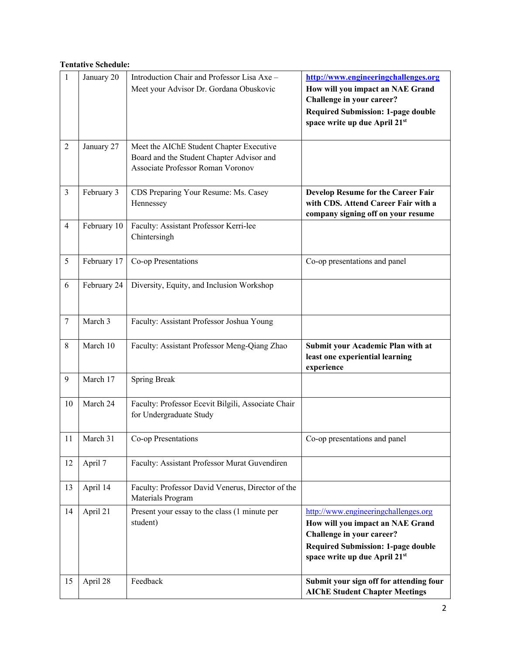## **Tentative Schedule:**

| 1              | January 20  | Introduction Chair and Professor Lisa Axe -<br>Meet your Advisor Dr. Gordana Obuskovic                                     | http://www.engineeringchallenges.org<br>How will you impact an NAE Grand<br>Challenge in your career?<br><b>Required Submission: 1-page double</b><br>space write up due April 21st |
|----------------|-------------|----------------------------------------------------------------------------------------------------------------------------|-------------------------------------------------------------------------------------------------------------------------------------------------------------------------------------|
| $\overline{2}$ | January 27  | Meet the AIChE Student Chapter Executive<br>Board and the Student Chapter Advisor and<br>Associate Professor Roman Voronov |                                                                                                                                                                                     |
| 3              | February 3  | CDS Preparing Your Resume: Ms. Casey<br>Hennessey                                                                          | Develop Resume for the Career Fair<br>with CDS. Attend Career Fair with a<br>company signing off on your resume                                                                     |
| $\overline{4}$ | February 10 | Faculty: Assistant Professor Kerri-lee<br>Chintersingh                                                                     |                                                                                                                                                                                     |
| 5              | February 17 | Co-op Presentations                                                                                                        | Co-op presentations and panel                                                                                                                                                       |
| 6              | February 24 | Diversity, Equity, and Inclusion Workshop                                                                                  |                                                                                                                                                                                     |
| $\tau$         | March 3     | Faculty: Assistant Professor Joshua Young                                                                                  |                                                                                                                                                                                     |
| 8              | March 10    | Faculty: Assistant Professor Meng-Qiang Zhao                                                                               | Submit your Academic Plan with at<br>least one experiential learning<br>experience                                                                                                  |
| 9              | March 17    | <b>Spring Break</b>                                                                                                        |                                                                                                                                                                                     |
| 10             | March 24    | Faculty: Professor Ecevit Bilgili, Associate Chair<br>for Undergraduate Study                                              |                                                                                                                                                                                     |
| 11             | March 31    | Co-op Presentations                                                                                                        | Co-op presentations and panel                                                                                                                                                       |
| 12             | April 7     | Faculty: Assistant Professor Murat Guvendiren                                                                              |                                                                                                                                                                                     |
| 13             | April 14    | Faculty: Professor David Venerus, Director of the<br>Materials Program                                                     |                                                                                                                                                                                     |
| 14             | April 21    | Present your essay to the class (1 minute per<br>student)                                                                  | http://www.engineeringchallenges.org<br>How will you impact an NAE Grand<br>Challenge in your career?<br><b>Required Submission: 1-page double</b><br>space write up due April 21st |
| 15             | April 28    | Feedback                                                                                                                   | Submit your sign off for attending four<br><b>AIChE Student Chapter Meetings</b>                                                                                                    |